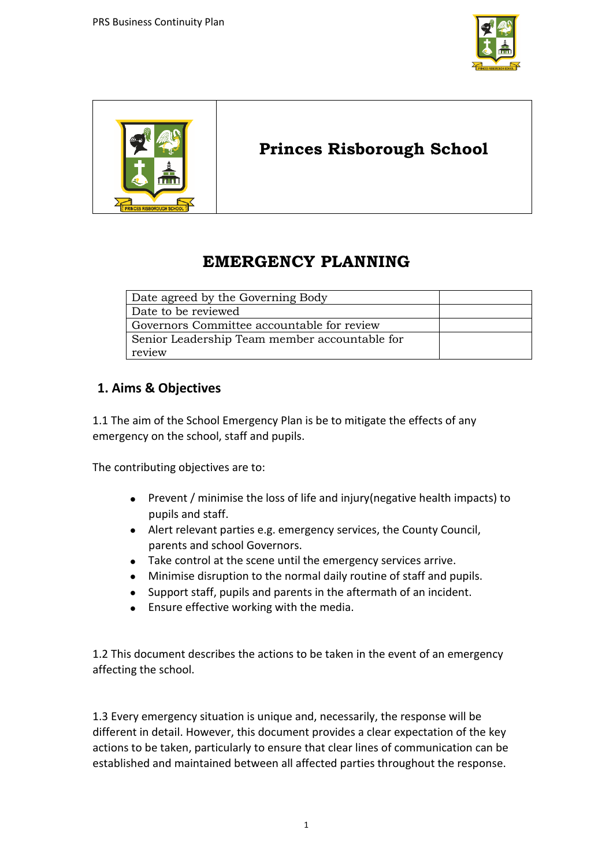



# **Princes Risborough School**

# **EMERGENCY PLANNING**

| Date agreed by the Governing Body             |  |
|-----------------------------------------------|--|
| Date to be reviewed                           |  |
| Governors Committee accountable for review    |  |
| Senior Leadership Team member accountable for |  |
| review                                        |  |

## **1. Aims & Objectives**

1.1 The aim of the School Emergency Plan is be to mitigate the effects of any emergency on the school, staff and pupils.

The contributing objectives are to:

- Prevent / minimise the loss of life and injury(negative health impacts) to pupils and staff.
- Alert relevant parties e.g. emergency services, the County Council, parents and school Governors.
- Take control at the scene until the emergency services arrive.
- Minimise disruption to the normal daily routine of staff and pupils.
- Support staff, pupils and parents in the aftermath of an incident.
- Ensure effective working with the media.

1.2 This document describes the actions to be taken in the event of an emergency affecting the school.

1.3 Every emergency situation is unique and, necessarily, the response will be different in detail. However, this document provides a clear expectation of the key actions to be taken, particularly to ensure that clear lines of communication can be established and maintained between all affected parties throughout the response.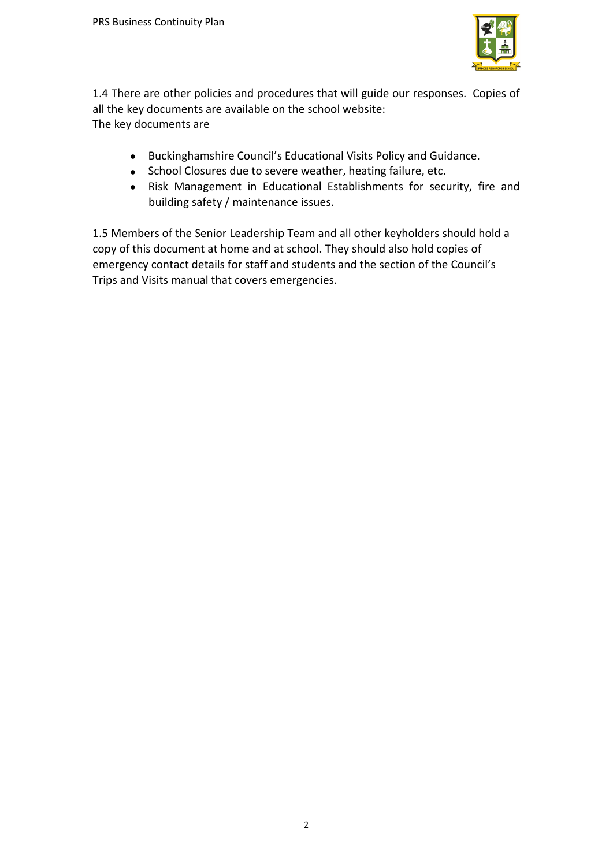

1.4 There are other policies and procedures that will guide our responses. Copies of all the key documents are available on the school website: The key documents are

- Buckinghamshire Council's Educational Visits Policy and Guidance.
- School Closures due to severe weather, heating failure, etc.
- Risk Management in Educational Establishments for security, fire and building safety / maintenance issues.

1.5 Members of the Senior Leadership Team and all other keyholders should hold a copy of this document at home and at school. They should also hold copies of emergency contact details for staff and students and the section of the Council's Trips and Visits manual that covers emergencies.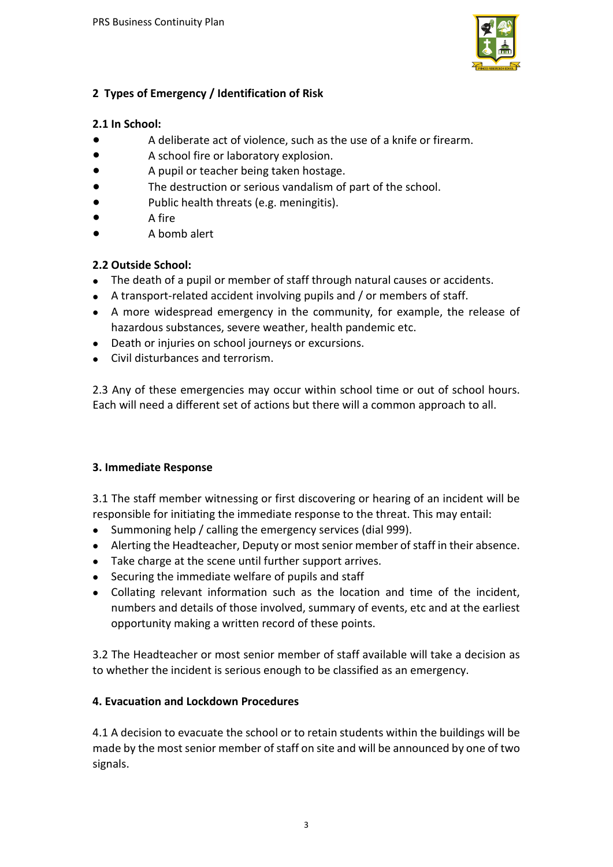

## **2 Types of Emergency / Identification of Risk**

### **2.1 In School:**

- A deliberate act of violence, such as the use of a knife or firearm.
- A school fire or laboratory explosion.
- A pupil or teacher being taken hostage.
- The destruction or serious vandalism of part of the school.
- Public health threats (e.g. meningitis).
- A fire
- A bomb alert

## **2.2 Outside School:**

- The death of a pupil or member of staff through natural causes or accidents.
- A transport-related accident involving pupils and / or members of staff.
- A more widespread emergency in the community, for example, the release of hazardous substances, severe weather, health pandemic etc.
- Death or injuries on school journeys or excursions.
- Civil disturbances and terrorism.

2.3 Any of these emergencies may occur within school time or out of school hours. Each will need a different set of actions but there will a common approach to all.

## **3. Immediate Response**

3.1 The staff member witnessing or first discovering or hearing of an incident will be responsible for initiating the immediate response to the threat. This may entail:

- Summoning help / calling the emergency services (dial 999).
- Alerting the Headteacher, Deputy or most senior member of staff in their absence.
- Take charge at the scene until further support arrives.
- Securing the immediate welfare of pupils and staff
- Collating relevant information such as the location and time of the incident, numbers and details of those involved, summary of events, etc and at the earliest opportunity making a written record of these points.

3.2 The Headteacher or most senior member of staff available will take a decision as to whether the incident is serious enough to be classified as an emergency.

## **4. Evacuation and Lockdown Procedures**

4.1 A decision to evacuate the school or to retain students within the buildings will be made by the most senior member of staff on site and will be announced by one of two signals.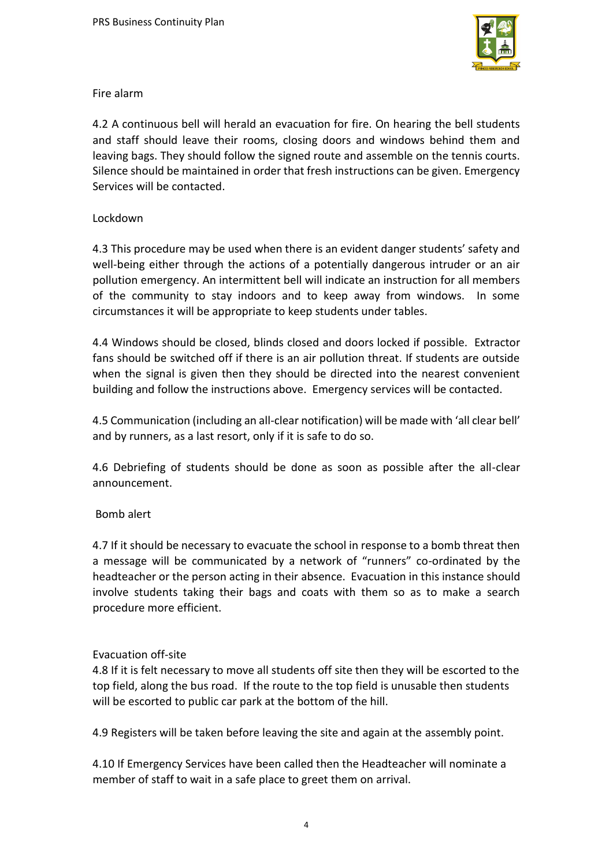

#### Fire alarm

4.2 A continuous bell will herald an evacuation for fire. On hearing the bell students and staff should leave their rooms, closing doors and windows behind them and leaving bags. They should follow the signed route and assemble on the tennis courts. Silence should be maintained in order that fresh instructions can be given. Emergency Services will be contacted.

### Lockdown

4.3 This procedure may be used when there is an evident danger students' safety and well-being either through the actions of a potentially dangerous intruder or an air pollution emergency. An intermittent bell will indicate an instruction for all members of the community to stay indoors and to keep away from windows. In some circumstances it will be appropriate to keep students under tables.

4.4 Windows should be closed, blinds closed and doors locked if possible. Extractor fans should be switched off if there is an air pollution threat. If students are outside when the signal is given then they should be directed into the nearest convenient building and follow the instructions above. Emergency services will be contacted.

4.5 Communication (including an all-clear notification) will be made with 'all clear bell' and by runners, as a last resort, only if it is safe to do so.

4.6 Debriefing of students should be done as soon as possible after the all-clear announcement.

### Bomb alert

4.7 If it should be necessary to evacuate the school in response to a bomb threat then a message will be communicated by a network of "runners" co-ordinated by the headteacher or the person acting in their absence. Evacuation in this instance should involve students taking their bags and coats with them so as to make a search procedure more efficient.

### Evacuation off-site

4.8 If it is felt necessary to move all students off site then they will be escorted to the top field, along the bus road. If the route to the top field is unusable then students will be escorted to public car park at the bottom of the hill.

4.9 Registers will be taken before leaving the site and again at the assembly point.

4.10 If Emergency Services have been called then the Headteacher will nominate a member of staff to wait in a safe place to greet them on arrival.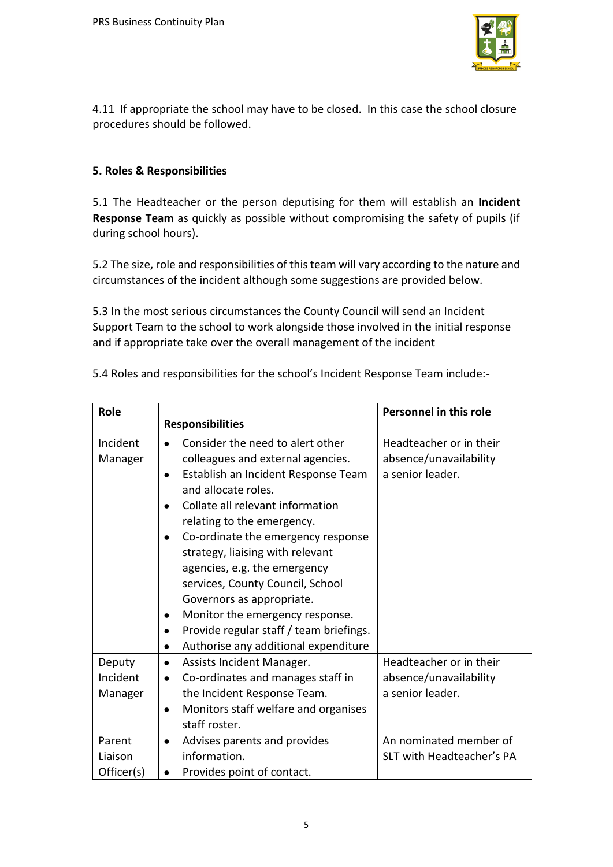

4.11 If appropriate the school may have to be closed. In this case the school closure procedures should be followed.

### **5. Roles & Responsibilities**

5.1 The Headteacher or the person deputising for them will establish an **Incident Response Team** as quickly as possible without compromising the safety of pupils (if during school hours).

5.2 The size, role and responsibilities of this team will vary according to the nature and circumstances of the incident although some suggestions are provided below.

5.3 In the most serious circumstances the County Council will send an Incident Support Team to the school to work alongside those involved in the initial response and if appropriate take over the overall management of the incident

5.4 Roles and responsibilities for the school's Incident Response Team include:-

| Role       |                                                   | Personnel in this role    |
|------------|---------------------------------------------------|---------------------------|
|            | <b>Responsibilities</b>                           |                           |
| Incident   | Consider the need to alert other                  | Headteacher or in their   |
| Manager    | colleagues and external agencies.                 | absence/unavailability    |
|            | Establish an Incident Response Team<br>$\bullet$  | a senior leader.          |
|            | and allocate roles.                               |                           |
|            | Collate all relevant information                  |                           |
|            | relating to the emergency.                        |                           |
|            | Co-ordinate the emergency response<br>$\bullet$   |                           |
|            | strategy, liaising with relevant                  |                           |
|            | agencies, e.g. the emergency                      |                           |
|            | services, County Council, School                  |                           |
|            | Governors as appropriate.                         |                           |
|            | Monitor the emergency response.                   |                           |
|            | Provide regular staff / team briefings.           |                           |
|            | Authorise any additional expenditure<br>$\bullet$ |                           |
| Deputy     | Assists Incident Manager.<br>$\bullet$            | Headteacher or in their   |
| Incident   | Co-ordinates and manages staff in<br>$\bullet$    | absence/unavailability    |
| Manager    | the Incident Response Team.                       | a senior leader.          |
|            | Monitors staff welfare and organises<br>$\bullet$ |                           |
|            | staff roster.                                     |                           |
| Parent     | Advises parents and provides<br>$\bullet$         | An nominated member of    |
| Liaison    | information.                                      | SLT with Headteacher's PA |
| Officer(s) | Provides point of contact.                        |                           |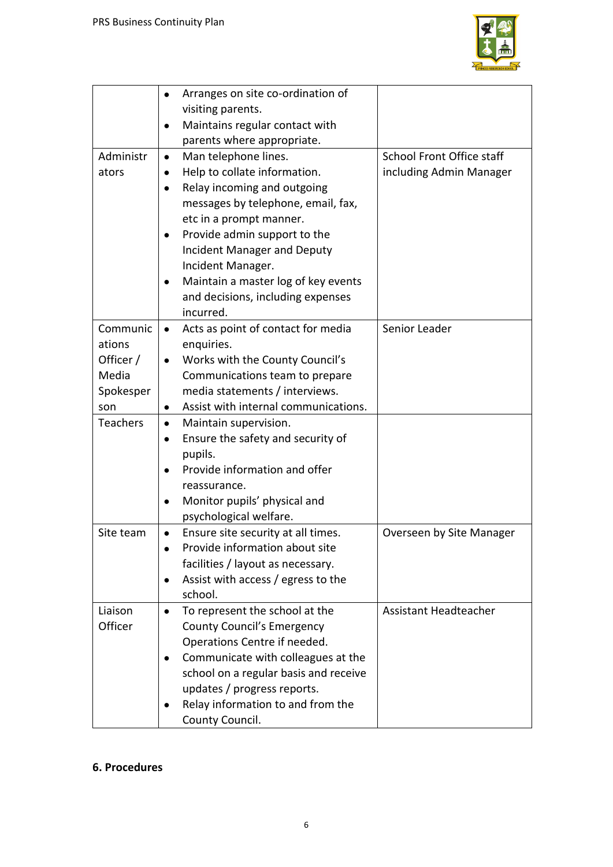

|                 | Arranges on site co-ordination of<br>$\bullet$  |                                  |
|-----------------|-------------------------------------------------|----------------------------------|
|                 | visiting parents.                               |                                  |
|                 | Maintains regular contact with<br>$\bullet$     |                                  |
|                 | parents where appropriate.                      |                                  |
| Administr       | Man telephone lines.<br>$\bullet$               | <b>School Front Office staff</b> |
| ators           | Help to collate information.<br>$\bullet$       | including Admin Manager          |
|                 | Relay incoming and outgoing<br>$\bullet$        |                                  |
|                 | messages by telephone, email, fax,              |                                  |
|                 | etc in a prompt manner.                         |                                  |
|                 | Provide admin support to the<br>٠               |                                  |
|                 | Incident Manager and Deputy                     |                                  |
|                 | Incident Manager.                               |                                  |
|                 | Maintain a master log of key events             |                                  |
|                 | and decisions, including expenses               |                                  |
|                 | incurred.                                       |                                  |
| Communic        | Acts as point of contact for media<br>$\bullet$ | Senior Leader                    |
| ations          | enquiries.                                      |                                  |
| Officer /       | Works with the County Council's<br>$\bullet$    |                                  |
| Media           | Communications team to prepare                  |                                  |
| Spokesper       | media statements / interviews.                  |                                  |
| son             | Assist with internal communications.<br>٠       |                                  |
| <b>Teachers</b> | Maintain supervision.<br>٠                      |                                  |
|                 | Ensure the safety and security of<br>$\bullet$  |                                  |
|                 | pupils.                                         |                                  |
|                 | Provide information and offer<br>$\bullet$      |                                  |
|                 | reassurance.                                    |                                  |
|                 | Monitor pupils' physical and<br>٠               |                                  |
|                 | psychological welfare.                          |                                  |
| Site team       | Ensure site security at all times.<br>٠         | Overseen by Site Manager         |
|                 | Provide information about site                  |                                  |
|                 | facilities / layout as necessary.               |                                  |
|                 | Assist with access / egress to the<br>$\bullet$ |                                  |
|                 | school.                                         |                                  |
| Liaison         | To represent the school at the<br>$\bullet$     | Assistant Headteacher            |
| Officer         | <b>County Council's Emergency</b>               |                                  |
|                 | Operations Centre if needed.                    |                                  |
|                 | Communicate with colleagues at the<br>$\bullet$ |                                  |
|                 | school on a regular basis and receive           |                                  |
|                 | updates / progress reports.                     |                                  |
|                 | Relay information to and from the               |                                  |
|                 | County Council.                                 |                                  |

## **6. Procedures**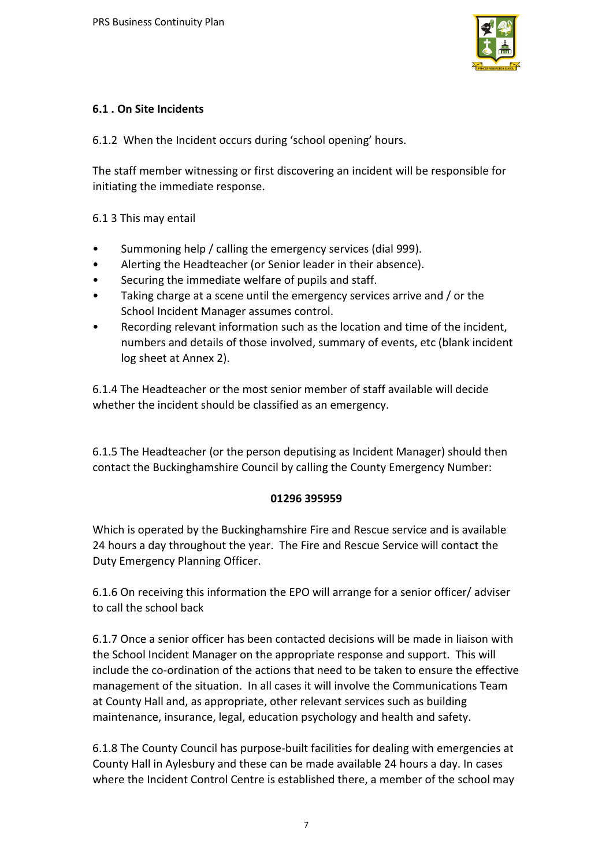

### **6.1 . On Site Incidents**

6.1.2 When the Incident occurs during 'school opening' hours.

The staff member witnessing or first discovering an incident will be responsible for initiating the immediate response.

6.1 3 This may entail

- Summoning help / calling the emergency services (dial 999).
- Alerting the Headteacher (or Senior leader in their absence).
- Securing the immediate welfare of pupils and staff.
- Taking charge at a scene until the emergency services arrive and / or the School Incident Manager assumes control.
- Recording relevant information such as the location and time of the incident, numbers and details of those involved, summary of events, etc (blank incident log sheet at Annex 2).

6.1.4 The Headteacher or the most senior member of staff available will decide whether the incident should be classified as an emergency.

6.1.5 The Headteacher (or the person deputising as Incident Manager) should then contact the Buckinghamshire Council by calling the County Emergency Number:

### **01296 395959**

Which is operated by the Buckinghamshire Fire and Rescue service and is available 24 hours a day throughout the year. The Fire and Rescue Service will contact the Duty Emergency Planning Officer.

6.1.6 On receiving this information the EPO will arrange for a senior officer/ adviser to call the school back

6.1.7 Once a senior officer has been contacted decisions will be made in liaison with the School Incident Manager on the appropriate response and support. This will include the co-ordination of the actions that need to be taken to ensure the effective management of the situation. In all cases it will involve the Communications Team at County Hall and, as appropriate, other relevant services such as building maintenance, insurance, legal, education psychology and health and safety.

6.1.8 The County Council has purpose-built facilities for dealing with emergencies at County Hall in Aylesbury and these can be made available 24 hours a day. In cases where the Incident Control Centre is established there, a member of the school may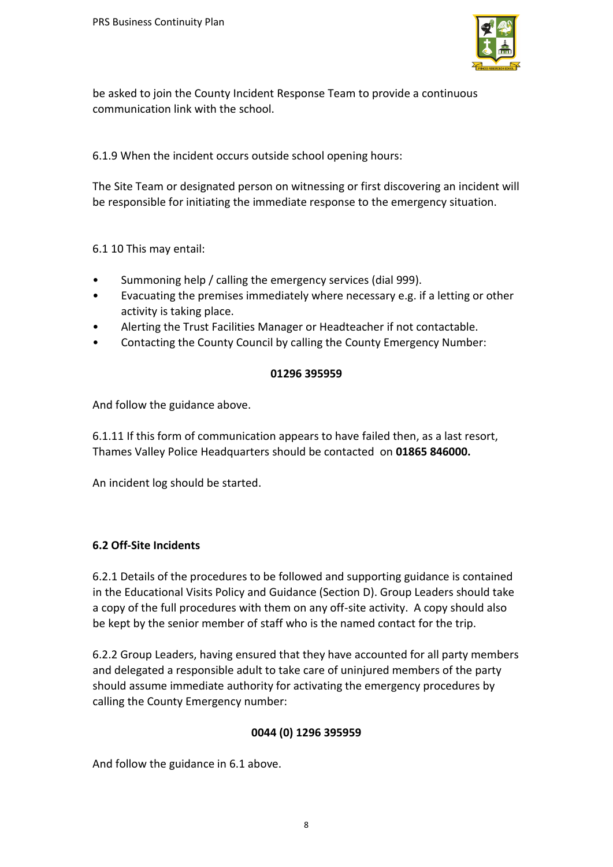

be asked to join the County Incident Response Team to provide a continuous communication link with the school.

6.1.9 When the incident occurs outside school opening hours:

The Site Team or designated person on witnessing or first discovering an incident will be responsible for initiating the immediate response to the emergency situation.

6.1 10 This may entail:

- Summoning help / calling the emergency services (dial 999).
- Evacuating the premises immediately where necessary e.g. if a letting or other activity is taking place.
- Alerting the Trust Facilities Manager or Headteacher if not contactable.
- Contacting the County Council by calling the County Emergency Number:

#### **01296 395959**

And follow the guidance above.

6.1.11 If this form of communication appears to have failed then, as a last resort, Thames Valley Police Headquarters should be contacted on **01865 846000.**

An incident log should be started.

### **6.2 Off-Site Incidents**

6.2.1 Details of the procedures to be followed and supporting guidance is contained in the Educational Visits Policy and Guidance (Section D). Group Leaders should take a copy of the full procedures with them on any off-site activity. A copy should also be kept by the senior member of staff who is the named contact for the trip.

6.2.2 Group Leaders, having ensured that they have accounted for all party members and delegated a responsible adult to take care of uninjured members of the party should assume immediate authority for activating the emergency procedures by calling the County Emergency number:

#### **0044 (0) 1296 395959**

And follow the guidance in 6.1 above.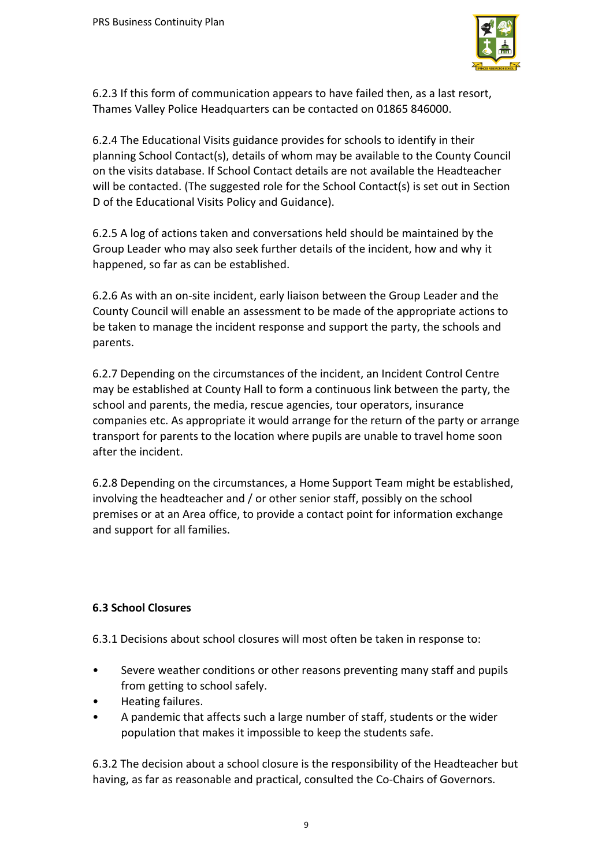

6.2.3 If this form of communication appears to have failed then, as a last resort, Thames Valley Police Headquarters can be contacted on 01865 846000.

6.2.4 The Educational Visits guidance provides for schools to identify in their planning School Contact(s), details of whom may be available to the County Council on the visits database. If School Contact details are not available the Headteacher will be contacted. (The suggested role for the School Contact(s) is set out in Section D of the Educational Visits Policy and Guidance).

6.2.5 A log of actions taken and conversations held should be maintained by the Group Leader who may also seek further details of the incident, how and why it happened, so far as can be established.

6.2.6 As with an on-site incident, early liaison between the Group Leader and the County Council will enable an assessment to be made of the appropriate actions to be taken to manage the incident response and support the party, the schools and parents.

6.2.7 Depending on the circumstances of the incident, an Incident Control Centre may be established at County Hall to form a continuous link between the party, the school and parents, the media, rescue agencies, tour operators, insurance companies etc. As appropriate it would arrange for the return of the party or arrange transport for parents to the location where pupils are unable to travel home soon after the incident.

6.2.8 Depending on the circumstances, a Home Support Team might be established, involving the headteacher and / or other senior staff, possibly on the school premises or at an Area office, to provide a contact point for information exchange and support for all families.

## **6.3 School Closures**

6.3.1 Decisions about school closures will most often be taken in response to:

- Severe weather conditions or other reasons preventing many staff and pupils from getting to school safely.
- Heating failures.
- A pandemic that affects such a large number of staff, students or the wider population that makes it impossible to keep the students safe.

6.3.2 The decision about a school closure is the responsibility of the Headteacher but having, as far as reasonable and practical, consulted the Co-Chairs of Governors.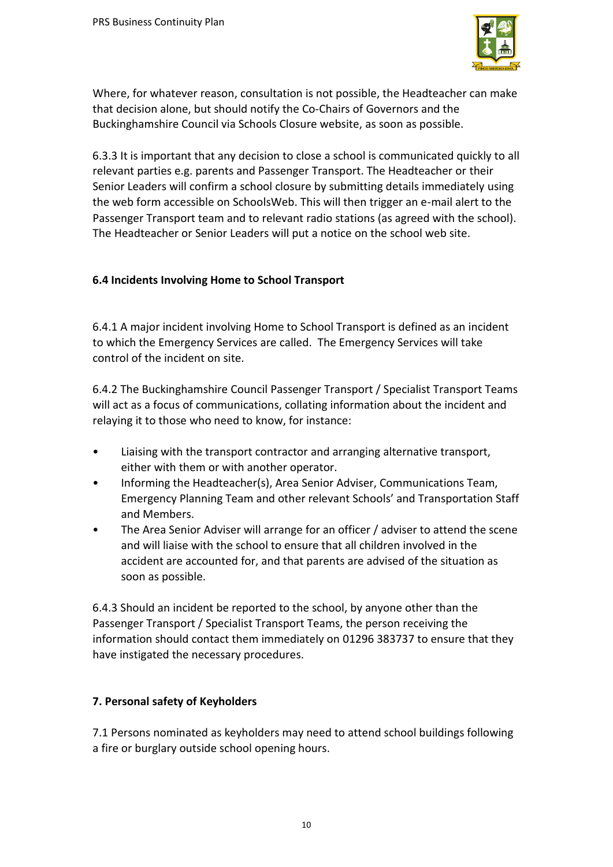

Where, for whatever reason, consultation is not possible, the Headteacher can make that decision alone, but should notify the Co-Chairs of Governors and the Buckinghamshire Council via Schools Closure website, as soon as possible.

6.3.3 It is important that any decision to close a school is communicated quickly to all relevant parties e.g. parents and Passenger Transport. The Headteacher or their Senior Leaders will confirm a school closure by submitting details immediately using the web form accessible on SchoolsWeb. This will then trigger an e-mail alert to the Passenger Transport team and to relevant radio stations (as agreed with the school). The Headteacher or Senior Leaders will put a notice on the school web site.

### **6.4 Incidents Involving Home to School Transport**

6.4.1 A major incident involving Home to School Transport is defined as an incident to which the Emergency Services are called. The Emergency Services will take control of the incident on site.

6.4.2 The Buckinghamshire Council Passenger Transport / Specialist Transport Teams will act as a focus of communications, collating information about the incident and relaying it to those who need to know, for instance:

- Liaising with the transport contractor and arranging alternative transport, either with them or with another operator.
- Informing the Headteacher(s), Area Senior Adviser, Communications Team, Emergency Planning Team and other relevant Schools' and Transportation Staff and Members.
- The Area Senior Adviser will arrange for an officer / adviser to attend the scene and will liaise with the school to ensure that all children involved in the accident are accounted for, and that parents are advised of the situation as soon as possible.

6.4.3 Should an incident be reported to the school, by anyone other than the Passenger Transport / Specialist Transport Teams, the person receiving the information should contact them immediately on 01296 383737 to ensure that they have instigated the necessary procedures.

## **7. Personal safety of Keyholders**

7.1 Persons nominated as keyholders may need to attend school buildings following a fire or burglary outside school opening hours.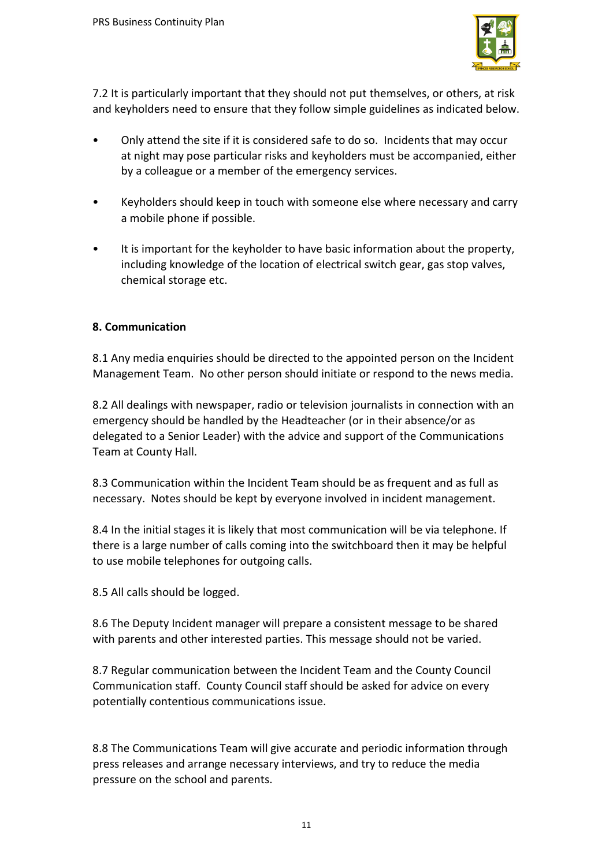

7.2 It is particularly important that they should not put themselves, or others, at risk and keyholders need to ensure that they follow simple guidelines as indicated below.

- Only attend the site if it is considered safe to do so. Incidents that may occur at night may pose particular risks and keyholders must be accompanied, either by a colleague or a member of the emergency services.
- Keyholders should keep in touch with someone else where necessary and carry a mobile phone if possible.
- It is important for the keyholder to have basic information about the property, including knowledge of the location of electrical switch gear, gas stop valves, chemical storage etc.

### **8. Communication**

8.1 Any media enquiries should be directed to the appointed person on the Incident Management Team. No other person should initiate or respond to the news media.

8.2 All dealings with newspaper, radio or television journalists in connection with an emergency should be handled by the Headteacher (or in their absence/or as delegated to a Senior Leader) with the advice and support of the Communications Team at County Hall.

8.3 Communication within the Incident Team should be as frequent and as full as necessary. Notes should be kept by everyone involved in incident management.

8.4 In the initial stages it is likely that most communication will be via telephone. If there is a large number of calls coming into the switchboard then it may be helpful to use mobile telephones for outgoing calls.

8.5 All calls should be logged.

8.6 The Deputy Incident manager will prepare a consistent message to be shared with parents and other interested parties. This message should not be varied.

8.7 Regular communication between the Incident Team and the County Council Communication staff. County Council staff should be asked for advice on every potentially contentious communications issue.

8.8 The Communications Team will give accurate and periodic information through press releases and arrange necessary interviews, and try to reduce the media pressure on the school and parents.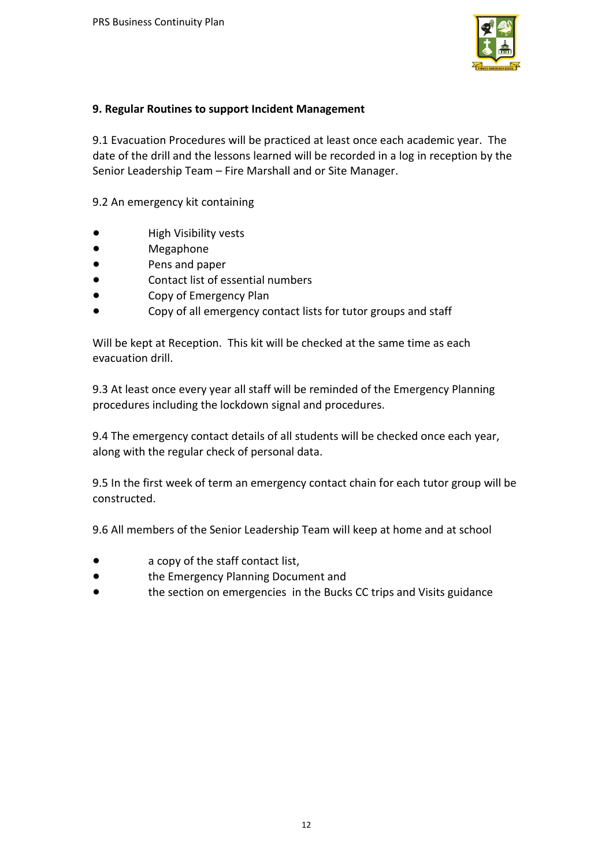

### **9. Regular Routines to support Incident Management**

9.1 Evacuation Procedures will be practiced at least once each academic year. The date of the drill and the lessons learned will be recorded in a log in reception by the Senior Leadership Team – Fire Marshall and or Site Manager.

9.2 An emergency kit containing

- High Visibility vests
- Megaphone
- Pens and paper
- Contact list of essential numbers
- Copy of Emergency Plan
- Copy of all emergency contact lists for tutor groups and staff

Will be kept at Reception. This kit will be checked at the same time as each evacuation drill.

9.3 At least once every year all staff will be reminded of the Emergency Planning procedures including the lockdown signal and procedures.

9.4 The emergency contact details of all students will be checked once each year, along with the regular check of personal data.

9.5 In the first week of term an emergency contact chain for each tutor group will be constructed.

9.6 All members of the Senior Leadership Team will keep at home and at school

- a copy of the staff contact list,
- the Emergency Planning Document and
- the section on emergencies in the Bucks CC trips and Visits guidance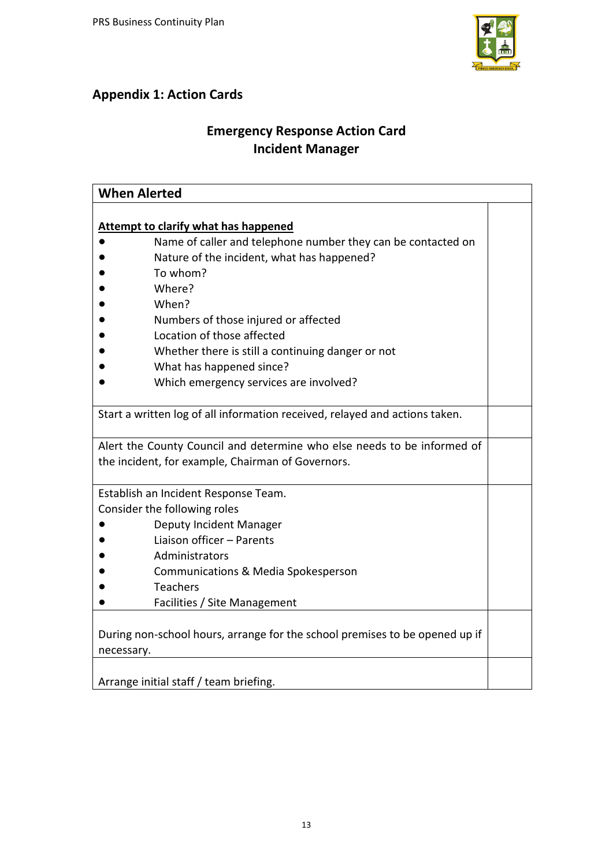

# **Appendix 1: Action Cards**

# **Emergency Response Action Card Incident Manager**

| <b>When Alerted</b>                                                         |  |  |
|-----------------------------------------------------------------------------|--|--|
|                                                                             |  |  |
| Attempt to clarify what has happened                                        |  |  |
| Name of caller and telephone number they can be contacted on                |  |  |
| Nature of the incident, what has happened?                                  |  |  |
| To whom?                                                                    |  |  |
| Where?                                                                      |  |  |
| When?                                                                       |  |  |
| Numbers of those injured or affected                                        |  |  |
| Location of those affected                                                  |  |  |
| Whether there is still a continuing danger or not                           |  |  |
| What has happened since?                                                    |  |  |
| Which emergency services are involved?                                      |  |  |
|                                                                             |  |  |
| Start a written log of all information received, relayed and actions taken. |  |  |
|                                                                             |  |  |
| Alert the County Council and determine who else needs to be informed of     |  |  |
| the incident, for example, Chairman of Governors.                           |  |  |
|                                                                             |  |  |
| Establish an Incident Response Team.                                        |  |  |
| Consider the following roles                                                |  |  |
| Deputy Incident Manager                                                     |  |  |
| Liaison officer - Parents                                                   |  |  |
| Administrators                                                              |  |  |
| Communications & Media Spokesperson                                         |  |  |
| <b>Teachers</b>                                                             |  |  |
| Facilities / Site Management                                                |  |  |
|                                                                             |  |  |
| During non-school hours, arrange for the school premises to be opened up if |  |  |
| necessary.                                                                  |  |  |
|                                                                             |  |  |
| Arrange initial staff / team briefing.                                      |  |  |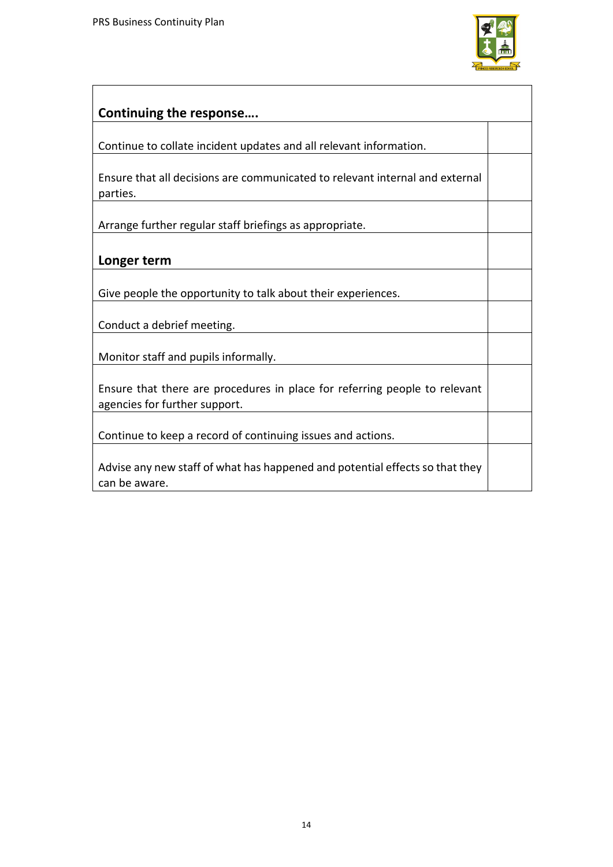

| Continuing the response                                                                                     |  |
|-------------------------------------------------------------------------------------------------------------|--|
| Continue to collate incident updates and all relevant information.                                          |  |
| Ensure that all decisions are communicated to relevant internal and external<br>parties.                    |  |
| Arrange further regular staff briefings as appropriate.                                                     |  |
| Longer term                                                                                                 |  |
| Give people the opportunity to talk about their experiences.                                                |  |
| Conduct a debrief meeting.                                                                                  |  |
| Monitor staff and pupils informally.                                                                        |  |
| Ensure that there are procedures in place for referring people to relevant<br>agencies for further support. |  |
| Continue to keep a record of continuing issues and actions.                                                 |  |
| Advise any new staff of what has happened and potential effects so that they<br>can be aware.               |  |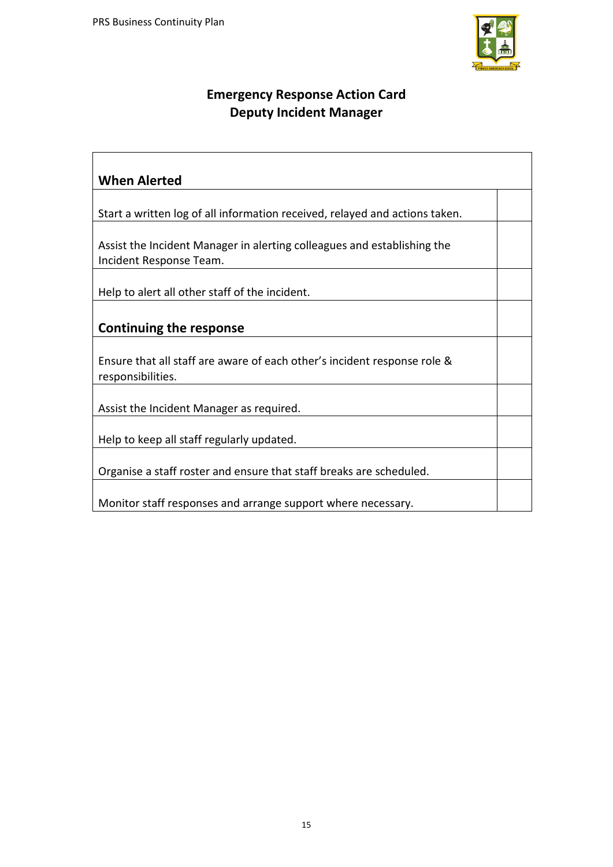$\mathbf{r}$ 



 $\overline{\phantom{0}}$ 

# **Emergency Response Action Card Deputy Incident Manager**

| <b>When Alerted</b>                                                                                |  |
|----------------------------------------------------------------------------------------------------|--|
|                                                                                                    |  |
| Start a written log of all information received, relayed and actions taken.                        |  |
| Assist the Incident Manager in alerting colleagues and establishing the<br>Incident Response Team. |  |
| Help to alert all other staff of the incident.                                                     |  |
| Continuing the response                                                                            |  |
| Ensure that all staff are aware of each other's incident response role &<br>responsibilities.      |  |
| Assist the Incident Manager as required.                                                           |  |
| Help to keep all staff regularly updated.                                                          |  |
| Organise a staff roster and ensure that staff breaks are scheduled.                                |  |
| Monitor staff responses and arrange support where necessary.                                       |  |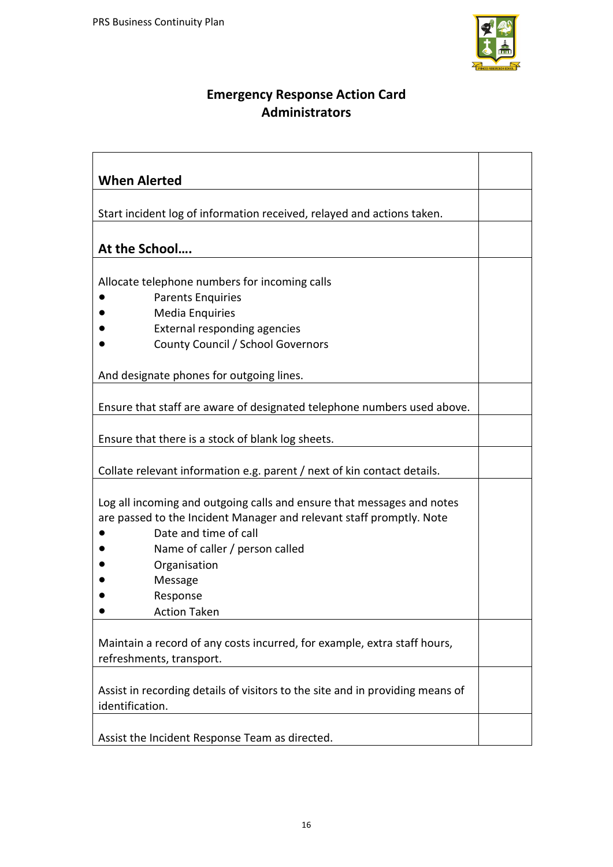

## **Emergency Response Action Card Administrators**

| <b>When Alerted</b>                                                           |  |  |
|-------------------------------------------------------------------------------|--|--|
|                                                                               |  |  |
| Start incident log of information received, relayed and actions taken.        |  |  |
|                                                                               |  |  |
| At the School                                                                 |  |  |
| Allocate telephone numbers for incoming calls                                 |  |  |
| <b>Parents Enquiries</b>                                                      |  |  |
| <b>Media Enquiries</b>                                                        |  |  |
| External responding agencies                                                  |  |  |
| County Council / School Governors                                             |  |  |
|                                                                               |  |  |
| And designate phones for outgoing lines.                                      |  |  |
|                                                                               |  |  |
| Ensure that staff are aware of designated telephone numbers used above.       |  |  |
|                                                                               |  |  |
| Ensure that there is a stock of blank log sheets.                             |  |  |
|                                                                               |  |  |
| Collate relevant information e.g. parent / next of kin contact details.       |  |  |
|                                                                               |  |  |
| Log all incoming and outgoing calls and ensure that messages and notes        |  |  |
| are passed to the Incident Manager and relevant staff promptly. Note          |  |  |
| Date and time of call                                                         |  |  |
| Name of caller / person called                                                |  |  |
| Organisation                                                                  |  |  |
| Message                                                                       |  |  |
| Response                                                                      |  |  |
| <b>Action Taken</b>                                                           |  |  |
| Maintain a record of any costs incurred, for example, extra staff hours,      |  |  |
| refreshments, transport.                                                      |  |  |
|                                                                               |  |  |
| Assist in recording details of visitors to the site and in providing means of |  |  |
| identification.                                                               |  |  |
|                                                                               |  |  |
| Assist the Incident Response Team as directed.                                |  |  |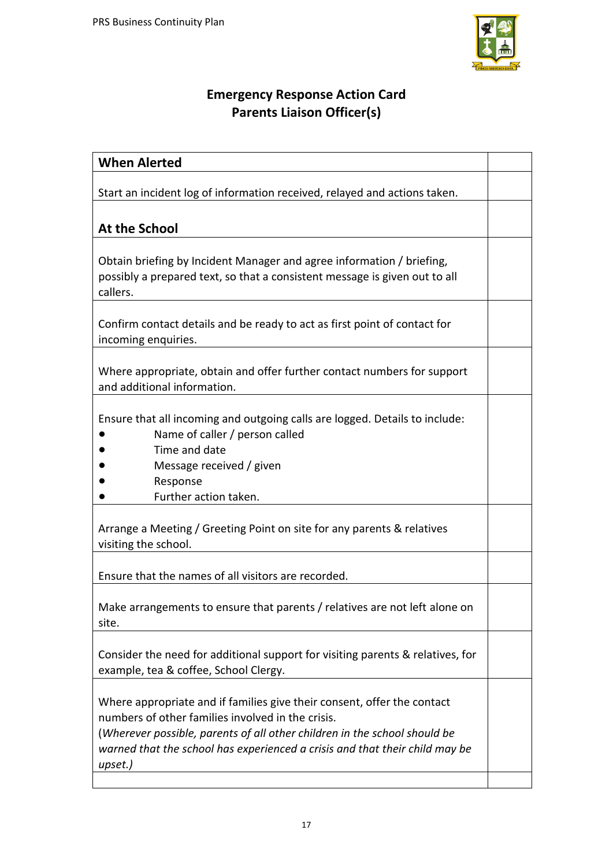

# **Emergency Response Action Card Parents Liaison Officer(s)**

| <b>When Alerted</b>                                                                                                                                                                                                                                                                                 |  |
|-----------------------------------------------------------------------------------------------------------------------------------------------------------------------------------------------------------------------------------------------------------------------------------------------------|--|
| Start an incident log of information received, relayed and actions taken.                                                                                                                                                                                                                           |  |
|                                                                                                                                                                                                                                                                                                     |  |
| <b>At the School</b>                                                                                                                                                                                                                                                                                |  |
| Obtain briefing by Incident Manager and agree information / briefing,<br>possibly a prepared text, so that a consistent message is given out to all<br>callers.                                                                                                                                     |  |
| Confirm contact details and be ready to act as first point of contact for<br>incoming enquiries.                                                                                                                                                                                                    |  |
| Where appropriate, obtain and offer further contact numbers for support<br>and additional information.                                                                                                                                                                                              |  |
| Ensure that all incoming and outgoing calls are logged. Details to include:<br>Name of caller / person called<br>Time and date<br>Message received / given<br>Response<br>Further action taken.                                                                                                     |  |
| Arrange a Meeting / Greeting Point on site for any parents & relatives<br>visiting the school.                                                                                                                                                                                                      |  |
| Ensure that the names of all visitors are recorded.                                                                                                                                                                                                                                                 |  |
| Make arrangements to ensure that parents / relatives are not left alone on<br>site.                                                                                                                                                                                                                 |  |
| Consider the need for additional support for visiting parents & relatives, for<br>example, tea & coffee, School Clergy.                                                                                                                                                                             |  |
| Where appropriate and if families give their consent, offer the contact<br>numbers of other families involved in the crisis.<br>(Wherever possible, parents of all other children in the school should be<br>warned that the school has experienced a crisis and that their child may be<br>upset.) |  |
|                                                                                                                                                                                                                                                                                                     |  |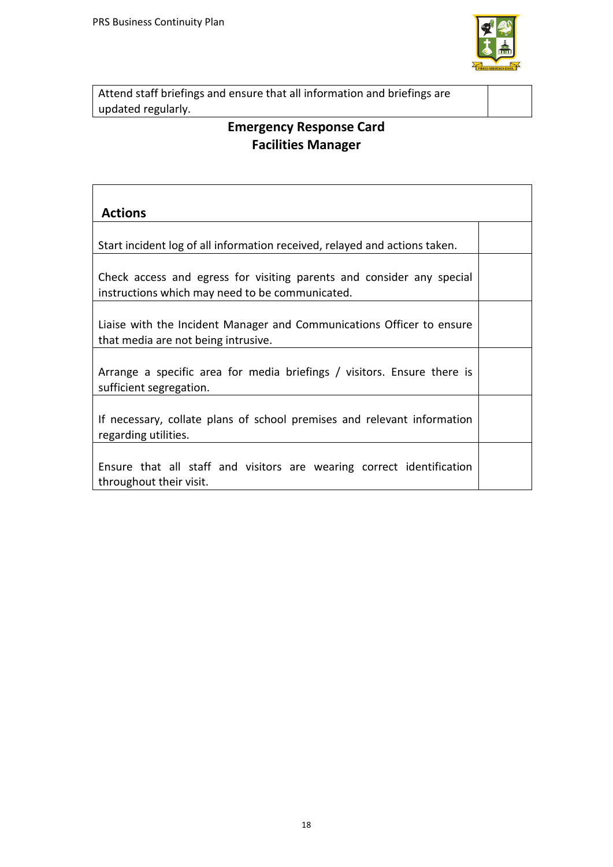

Attend staff briefings and ensure that all information and briefings are updated regularly.

# **Emergency Response Card Facilities Manager**

| <b>Actions</b>                                                                                                           |  |
|--------------------------------------------------------------------------------------------------------------------------|--|
| Start incident log of all information received, relayed and actions taken.                                               |  |
| Check access and egress for visiting parents and consider any special<br>instructions which may need to be communicated. |  |
| Liaise with the Incident Manager and Communications Officer to ensure<br>that media are not being intrusive.             |  |
| Arrange a specific area for media briefings / visitors. Ensure there is<br>sufficient segregation.                       |  |
| If necessary, collate plans of school premises and relevant information<br>regarding utilities.                          |  |
| Ensure that all staff and visitors are wearing correct identification<br>throughout their visit.                         |  |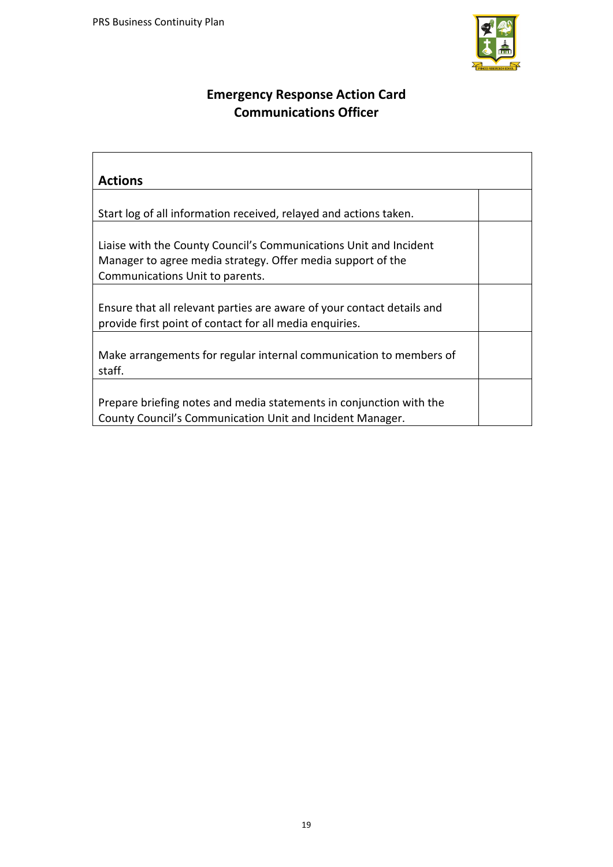

## **Emergency Response Action Card Communications Officer**

| <b>Actions</b>                                                         |  |
|------------------------------------------------------------------------|--|
|                                                                        |  |
| Start log of all information received, relayed and actions taken.      |  |
|                                                                        |  |
| Liaise with the County Council's Communications Unit and Incident      |  |
| Manager to agree media strategy. Offer media support of the            |  |
| Communications Unit to parents.                                        |  |
|                                                                        |  |
| Ensure that all relevant parties are aware of your contact details and |  |
| provide first point of contact for all media enquiries.                |  |
|                                                                        |  |
| Make arrangements for regular internal communication to members of     |  |
| staff.                                                                 |  |
|                                                                        |  |
| Prepare briefing notes and media statements in conjunction with the    |  |
| County Council's Communication Unit and Incident Manager.              |  |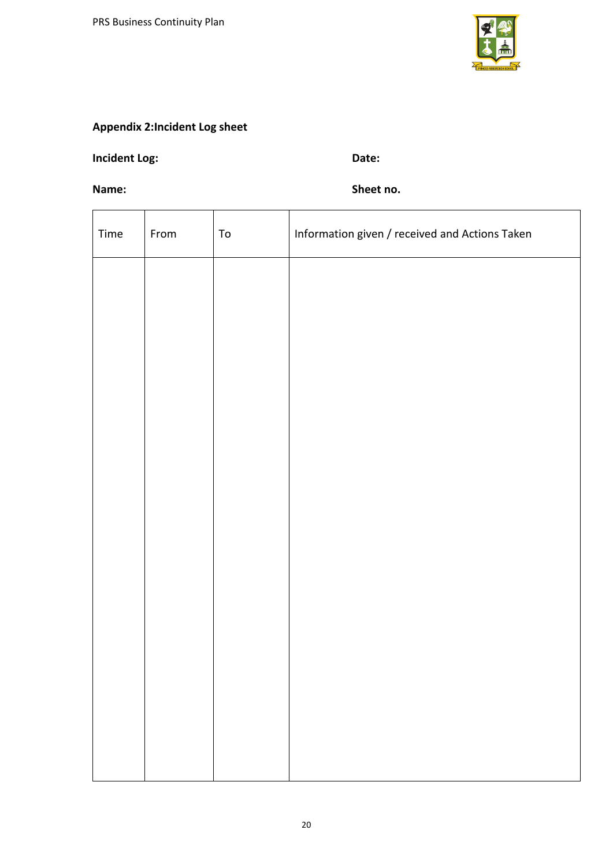

## **Appendix 2:Incident Log sheet**

**Incident Log: Date:** 

**Name:** Sheet no.

| Time | From | ${\tt To}$ | Information given / received and Actions Taken |
|------|------|------------|------------------------------------------------|
|      |      |            |                                                |
|      |      |            |                                                |
|      |      |            |                                                |
|      |      |            |                                                |
|      |      |            |                                                |
|      |      |            |                                                |
|      |      |            |                                                |
|      |      |            |                                                |
|      |      |            |                                                |
|      |      |            |                                                |
|      |      |            |                                                |
|      |      |            |                                                |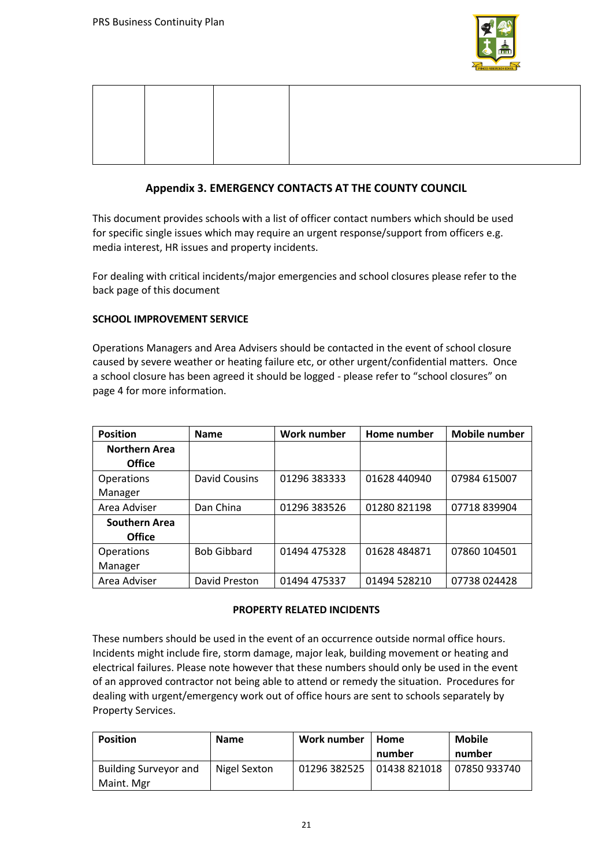

#### **Appendix 3. EMERGENCY CONTACTS AT THE COUNTY COUNCIL**

This document provides schools with a list of officer contact numbers which should be used for specific single issues which may require an urgent response/support from officers e.g. media interest, HR issues and property incidents.

For dealing with critical incidents/major emergencies and school closures please refer to the back page of this document

#### **SCHOOL IMPROVEMENT SERVICE**

Operations Managers and Area Advisers should be contacted in the event of school closure caused by severe weather or heating failure etc, or other urgent/confidential matters. Once a school closure has been agreed it should be logged - please refer to "school closures" on page 4 for more information.

| <b>Position</b>      | <b>Name</b>        | Work number  | Home number  | <b>Mobile number</b> |
|----------------------|--------------------|--------------|--------------|----------------------|
| <b>Northern Area</b> |                    |              |              |                      |
| <b>Office</b>        |                    |              |              |                      |
| Operations           | David Cousins      | 01296 383333 | 01628 440940 | 07984 615007         |
| Manager              |                    |              |              |                      |
| Area Adviser         | Dan China          | 01296 383526 | 01280 821198 | 07718 839904         |
| <b>Southern Area</b> |                    |              |              |                      |
| <b>Office</b>        |                    |              |              |                      |
| Operations           | <b>Bob Gibbard</b> | 01494 475328 | 01628 484871 | 07860 104501         |
| Manager              |                    |              |              |                      |
| Area Adviser         | David Preston      | 01494 475337 | 01494 528210 | 07738 024428         |

#### **PROPERTY RELATED INCIDENTS**

These numbers should be used in the event of an occurrence outside normal office hours. Incidents might include fire, storm damage, major leak, building movement or heating and electrical failures. Please note however that these numbers should only be used in the event of an approved contractor not being able to attend or remedy the situation. Procedures for dealing with urgent/emergency work out of office hours are sent to schools separately by Property Services.

| <b>Position</b>              | <b>Name</b>  | Work number | Home<br>number              | <b>Mobile</b><br>number |
|------------------------------|--------------|-------------|-----------------------------|-------------------------|
| <b>Building Surveyor and</b> | Nigel Sexton |             | 01296 382525   01438 821018 | 07850 933740            |
| Maint. Mgr                   |              |             |                             |                         |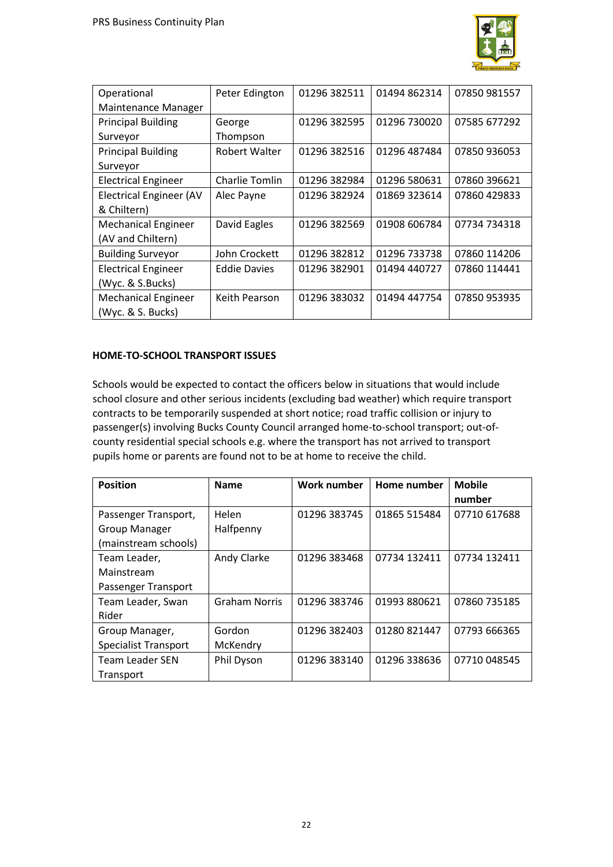

| Operational                    | Peter Edington      | 01296 382511 | 01494 862314 | 07850 981557 |
|--------------------------------|---------------------|--------------|--------------|--------------|
| Maintenance Manager            |                     |              |              |              |
| <b>Principal Building</b>      | George              | 01296 382595 | 01296 730020 | 07585 677292 |
| Surveyor                       | Thompson            |              |              |              |
| <b>Principal Building</b>      | Robert Walter       | 01296 382516 | 01296 487484 | 07850 936053 |
| Surveyor                       |                     |              |              |              |
| <b>Electrical Engineer</b>     | Charlie Tomlin      | 01296 382984 | 01296 580631 | 07860 396621 |
| <b>Electrical Engineer (AV</b> | Alec Payne          | 01296 382924 | 01869 323614 | 07860 429833 |
| & Chiltern)                    |                     |              |              |              |
| <b>Mechanical Engineer</b>     | David Eagles        | 01296 382569 | 01908 606784 | 07734 734318 |
| (AV and Chiltern)              |                     |              |              |              |
| <b>Building Surveyor</b>       | John Crockett       | 01296 382812 | 01296 733738 | 07860 114206 |
| <b>Electrical Engineer</b>     | <b>Eddie Davies</b> | 01296 382901 | 01494 440727 | 07860 114441 |
| (Wyc. & S.Bucks)               |                     |              |              |              |
| <b>Mechanical Engineer</b>     | Keith Pearson       | 01296 383032 | 01494 447754 | 07850 953935 |
| (Wyc. & S. Bucks)              |                     |              |              |              |

#### **HOME-TO-SCHOOL TRANSPORT ISSUES**

Schools would be expected to contact the officers below in situations that would include school closure and other serious incidents (excluding bad weather) which require transport contracts to be temporarily suspended at short notice; road traffic collision or injury to passenger(s) involving Bucks County Council arranged home-to-school transport; out-ofcounty residential special schools e.g. where the transport has not arrived to transport pupils home or parents are found not to be at home to receive the child.

| <b>Position</b>             | <b>Name</b>          | Work number  | Home number  | <b>Mobile</b> |
|-----------------------------|----------------------|--------------|--------------|---------------|
|                             |                      |              |              | number        |
| Passenger Transport,        | <b>Helen</b>         | 01296 383745 | 01865 515484 | 07710 617688  |
| <b>Group Manager</b>        | Halfpenny            |              |              |               |
| (mainstream schools)        |                      |              |              |               |
| Team Leader,                | Andy Clarke          | 01296 383468 | 07734 132411 | 07734 132411  |
| Mainstream                  |                      |              |              |               |
| Passenger Transport         |                      |              |              |               |
| Team Leader, Swan           | <b>Graham Norris</b> | 01296 383746 | 01993 880621 | 07860 735185  |
| Rider                       |                      |              |              |               |
| Group Manager,              | Gordon               | 01296 382403 | 01280 821447 | 07793 666365  |
| <b>Specialist Transport</b> | McKendry             |              |              |               |
| <b>Team Leader SEN</b>      | Phil Dyson           | 01296 383140 | 01296 338636 | 07710 048545  |
| Transport                   |                      |              |              |               |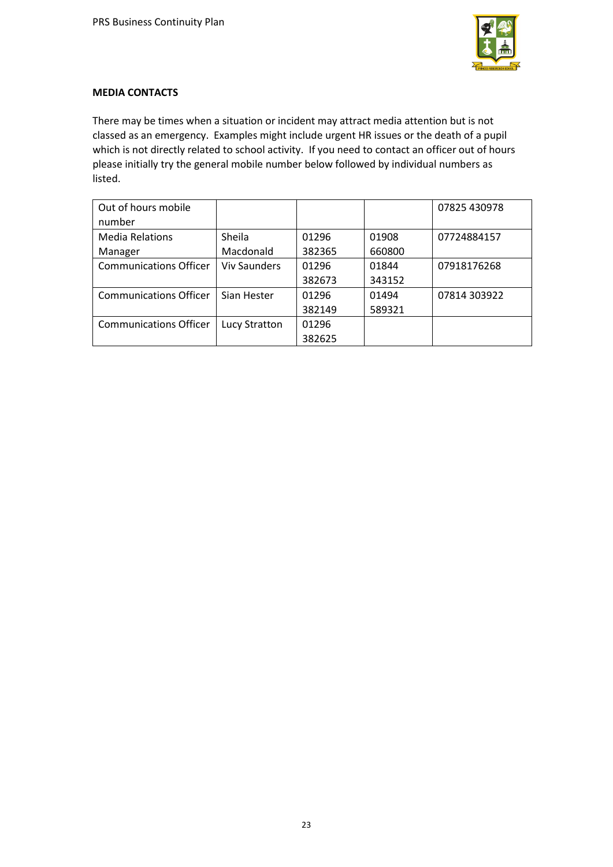

#### **MEDIA CONTACTS**

There may be times when a situation or incident may attract media attention but is not classed as an emergency. Examples might include urgent HR issues or the death of a pupil which is not directly related to school activity. If you need to contact an officer out of hours please initially try the general mobile number below followed by individual numbers as listed.

| Out of hours mobile           |                     |        |        | 07825 430978 |
|-------------------------------|---------------------|--------|--------|--------------|
| number                        |                     |        |        |              |
| <b>Media Relations</b>        | Sheila              | 01296  | 01908  | 07724884157  |
| Manager                       | Macdonald           | 382365 | 660800 |              |
| <b>Communications Officer</b> | <b>Viv Saunders</b> | 01296  | 01844  | 07918176268  |
|                               |                     | 382673 | 343152 |              |
| <b>Communications Officer</b> | Sian Hester         | 01296  | 01494  | 07814 303922 |
|                               |                     | 382149 | 589321 |              |
| <b>Communications Officer</b> | Lucy Stratton       | 01296  |        |              |
|                               |                     | 382625 |        |              |